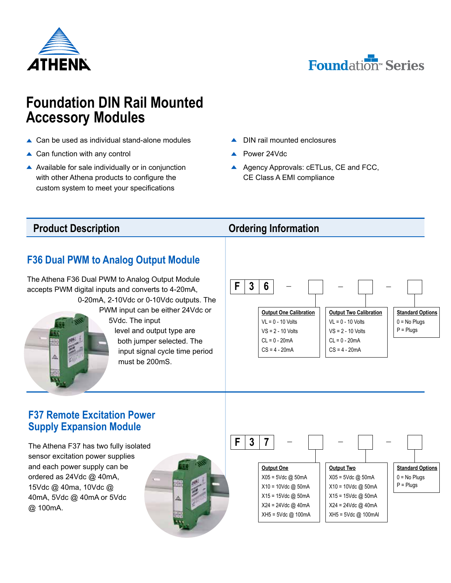



# **Foundation DIN Rail Mounted Accessory Modules**

- **▲ Can be used as individual stand-alone modules**
- **▲ Can function with any control**
- $\triangle$  Available for sale individually or in conjunction with other Athena products to configure the custom system to meet your specifications
- ▲ DIN rail mounted enclosures
- Power 24Vdc
- A Agency Approvals: cETLus, CE and FCC, CE Class A EMI compliance

### **Product Description** *Description Ordering Information*

# **F36 Dual PWM to Analog Output Module**

The Athena F36 Dual PWM to Analog Output Module accepts PWM digital inputs and converts to 4-20mA, 0-20mA, 2-10Vdc or 0-10Vdc outputs. The PWM input can be either 24Vdc or 5Vdc. The input level and output type are both jumper selected. The input signal cycle time period must be 200mS.



### **F37 Remote Excitation Power Supply Expansion Module**

The Athena F37 has two fully isolated sensor excitation power supplies and each power supply can be ordered as 24Vdc @ 40mA, 15Vdc @ 40ma, 10Vdc @ 40mA, 5Vdc @ 40mA or 5Vdc @ 100mA.